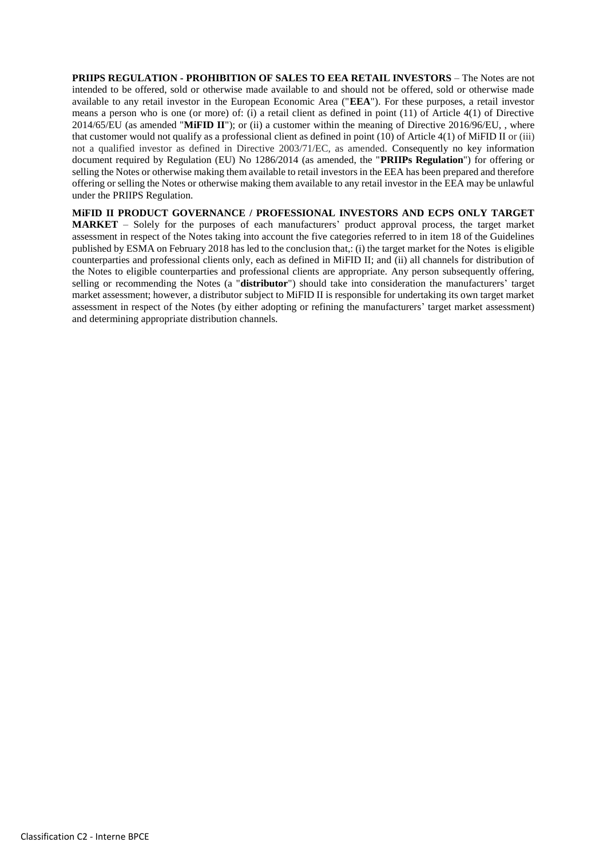**PRIIPS REGULATION - PROHIBITION OF SALES TO EEA RETAIL INVESTORS** – The Notes are not intended to be offered, sold or otherwise made available to and should not be offered, sold or otherwise made available to any retail investor in the European Economic Area ("**EEA**"). For these purposes, a retail investor means a person who is one (or more) of: (i) a retail client as defined in point (11) of Article 4(1) of Directive 2014/65/EU (as amended "**MiFID II**"); or (ii) a customer within the meaning of Directive 2016/96/EU, , where that customer would not qualify as a professional client as defined in point (10) of Article 4(1) of MiFID II or (iii) not a qualified investor as defined in Directive 2003/71/EC, as amended. Consequently no key information document required by Regulation (EU) No 1286/2014 (as amended, the "**PRIIPs Regulation**") for offering or selling the Notes or otherwise making them available to retail investors in the EEA has been prepared and therefore offering or selling the Notes or otherwise making them available to any retail investor in the EEA may be unlawful under the PRIIPS Regulation.

**MiFID II PRODUCT GOVERNANCE / PROFESSIONAL INVESTORS AND ECPS ONLY TARGET MARKET** – Solely for the purposes of each manufacturers' product approval process, the target market assessment in respect of the Notes taking into account the five categories referred to in item 18 of the Guidelines published by ESMA on February 2018 has led to the conclusion that,: (i) the target market for the Notes is eligible counterparties and professional clients only, each as defined in MiFID II; and (ii) all channels for distribution of the Notes to eligible counterparties and professional clients are appropriate. Any person subsequently offering, selling or recommending the Notes (a "**distributor**") should take into consideration the manufacturers' target market assessment; however, a distributor subject to MiFID II is responsible for undertaking its own target market assessment in respect of the Notes (by either adopting or refining the manufacturers' target market assessment) and determining appropriate distribution channels.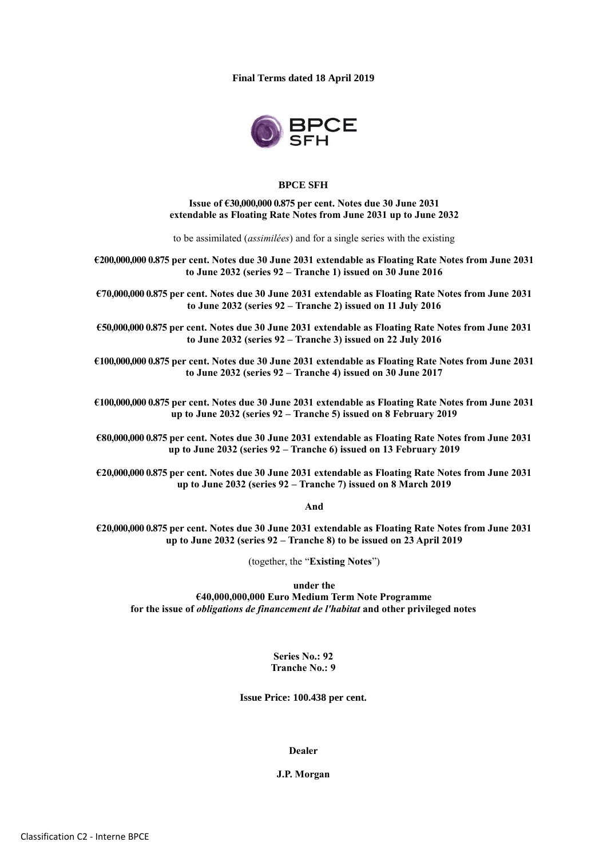**Final Terms dated 18 April 2019**



### **BPCE SFH**

**Issue of €30,000,000 0.875 per cent. Notes due 30 June 2031 extendable as Floating Rate Notes from June 2031 up to June 2032**

to be assimilated (*assimilées*) and for a single series with the existing

**€200,000,000 0.875 per cent. Notes due 30 June 2031 extendable as Floating Rate Notes from June 2031 to June 2032 (series 92 – Tranche 1) issued on 30 June 2016**

**€70,000,000 0.875 per cent. Notes due 30 June 2031 extendable as Floating Rate Notes from June 2031 to June 2032 (series 92 – Tranche 2) issued on 11 July 2016**

**€50,000,000 0.875 per cent. Notes due 30 June 2031 extendable as Floating Rate Notes from June 2031 to June 2032 (series 92 – Tranche 3) issued on 22 July 2016**

**€100,000,000 0.875 per cent. Notes due 30 June 2031 extendable as Floating Rate Notes from June 2031 to June 2032 (series 92 – Tranche 4) issued on 30 June 2017**

**€100,000,000 0.875 per cent. Notes due 30 June 2031 extendable as Floating Rate Notes from June 2031 up to June 2032 (series 92 – Tranche 5) issued on 8 February 2019**

**€80,000,000 0.875 per cent. Notes due 30 June 2031 extendable as Floating Rate Notes from June 2031 up to June 2032 (series 92 – Tranche 6) issued on 13 February 2019**

**€20,000,000 0.875 per cent. Notes due 30 June 2031 extendable as Floating Rate Notes from June 2031 up to June 2032 (series 92 – Tranche 7) issued on 8 March 2019**

**And**

**€20,000,000 0.875 per cent. Notes due 30 June 2031 extendable as Floating Rate Notes from June 2031 up to June 2032 (series 92 – Tranche 8) to be issued on 23 April 2019**

(together, the "**Existing Notes**")

**under the €40,000,000,000 Euro Medium Term Note Programme for the issue of** *obligations de financement de l'habitat* **and other privileged notes**

> **Series No.: 92 Tranche No.: 9**

**Issue Price: 100.438 per cent.**

**Dealer**

**J.P. Morgan**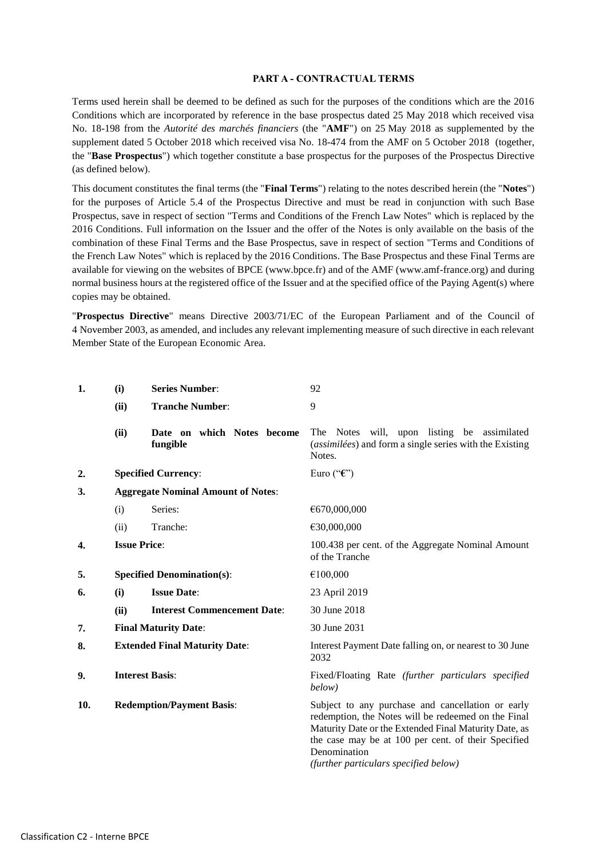#### **PART A - CONTRACTUAL TERMS**

Terms used herein shall be deemed to be defined as such for the purposes of the conditions which are the 2016 Conditions which are incorporated by reference in the base prospectus dated 25 May 2018 which received visa No. 18-198 from the *Autorité des marchés financiers* (the "**AMF**") on 25 May 2018 as supplemented by the supplement dated 5 October 2018 which received visa No. 18-474 from the AMF on 5 October 2018 (together, the "**Base Prospectus**") which together constitute a base prospectus for the purposes of the Prospectus Directive (as defined below).

This document constitutes the final terms (the "**Final Terms**") relating to the notes described herein (the "**Notes**") for the purposes of Article 5.4 of the Prospectus Directive and must be read in conjunction with such Base Prospectus, save in respect of section "Terms and Conditions of the French Law Notes" which is replaced by the 2016 Conditions. Full information on the Issuer and the offer of the Notes is only available on the basis of the combination of these Final Terms and the Base Prospectus, save in respect of section "Terms and Conditions of the French Law Notes" which is replaced by the 2016 Conditions. The Base Prospectus and these Final Terms are available for viewing on the websites of BPCE (www.bpce.fr) and of the AMF (www.amf-france.org) and during normal business hours at the registered office of the Issuer and at the specified office of the Paying Agent(s) where copies may be obtained.

"**Prospectus Directive**" means Directive 2003/71/EC of the European Parliament and of the Council of 4 November 2003, as amended, and includes any relevant implementing measure of such directive in each relevant Member State of the European Economic Area.

| 1.  | (i)                                       | <b>Series Number:</b>                  | 92                                                                                                                                                                                                                                                                                |
|-----|-------------------------------------------|----------------------------------------|-----------------------------------------------------------------------------------------------------------------------------------------------------------------------------------------------------------------------------------------------------------------------------------|
|     | (ii)                                      | <b>Tranche Number:</b>                 | 9                                                                                                                                                                                                                                                                                 |
|     | (ii)                                      | Date on which Notes become<br>fungible | The Notes will, upon listing be assimilated<br>(assimilées) and form a single series with the Existing<br>Notes.                                                                                                                                                                  |
| 2.  |                                           | <b>Specified Currency:</b>             | Euro (" $\mathbf{\hat{\epsilon}}$ ")                                                                                                                                                                                                                                              |
| 3.  | <b>Aggregate Nominal Amount of Notes:</b> |                                        |                                                                                                                                                                                                                                                                                   |
|     | (i)                                       | Series:                                | €670,000,000                                                                                                                                                                                                                                                                      |
|     | (ii)                                      | Tranche:                               | €30,000,000                                                                                                                                                                                                                                                                       |
| 4.  | <b>Issue Price:</b>                       |                                        | 100.438 per cent. of the Aggregate Nominal Amount<br>of the Tranche                                                                                                                                                                                                               |
| 5.  | <b>Specified Denomination(s):</b>         |                                        | €100,000                                                                                                                                                                                                                                                                          |
| 6.  | (i)                                       | <b>Issue Date:</b>                     | 23 April 2019                                                                                                                                                                                                                                                                     |
|     | (ii)                                      | <b>Interest Commencement Date:</b>     | 30 June 2018                                                                                                                                                                                                                                                                      |
| 7.  | <b>Final Maturity Date:</b>               |                                        | 30 June 2031                                                                                                                                                                                                                                                                      |
| 8.  | <b>Extended Final Maturity Date:</b>      |                                        | Interest Payment Date falling on, or nearest to 30 June<br>2032                                                                                                                                                                                                                   |
| 9.  | <b>Interest Basis:</b>                    |                                        | Fixed/Floating Rate (further particulars specified<br>below)                                                                                                                                                                                                                      |
| 10. |                                           | <b>Redemption/Payment Basis:</b>       | Subject to any purchase and cancellation or early<br>redemption, the Notes will be redeemed on the Final<br>Maturity Date or the Extended Final Maturity Date, as<br>the case may be at 100 per cent. of their Specified<br>Denomination<br>(further particulars specified below) |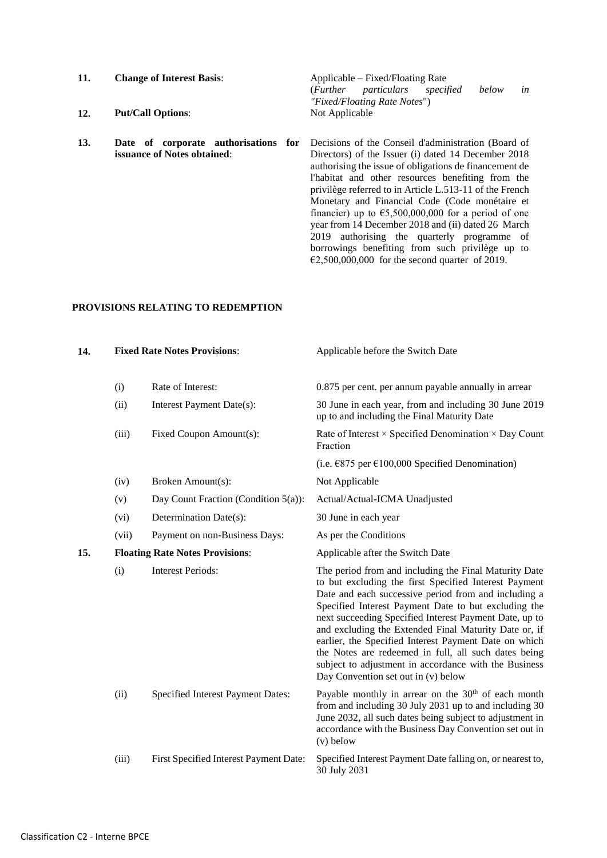| 11. | <b>Change of Interest Basis:</b>     |  | Applicable – Fixed/Floating Rate                       |    |  |
|-----|--------------------------------------|--|--------------------------------------------------------|----|--|
|     |                                      |  | particulars<br>below<br>( <i>Further</i><br>specified  | in |  |
|     |                                      |  | "Fixed/Floating Rate Notes")                           |    |  |
| 12. | <b>Put/Call Options:</b>             |  | Not Applicable                                         |    |  |
| 13. | Date of corporate authorisations for |  | Decisions of the Conseil d'administration (Board of    |    |  |
|     | issuance of Notes obtained:          |  | Directors) of the Issuer (i) dated 14 December 2018    |    |  |
|     |                                      |  | authorising the issue of obligations de financement de |    |  |

authorising the issue of obligations de financement de l'habitat and other resources benefiting from the privilège referred to in Article L.513-11 of the French Monetary and Financial Code (Code monétaire et financier) up to  $65,500,000,000$  for a period of one year from 14 December 2018 and (ii) dated 26 March 2019 authorising the quarterly programme of borrowings benefiting from such privilège up to  $\epsilon$ 2,500,000,000 for the second quarter of 2019.

# **PROVISIONS RELATING TO REDEMPTION**

| 14. |       | <b>Fixed Rate Notes Provisions:</b>     | Applicable before the Switch Date                                                                                                                                                                                                                                                                                                                                                                                                                                                                                                                                  |  |
|-----|-------|-----------------------------------------|--------------------------------------------------------------------------------------------------------------------------------------------------------------------------------------------------------------------------------------------------------------------------------------------------------------------------------------------------------------------------------------------------------------------------------------------------------------------------------------------------------------------------------------------------------------------|--|
|     | (i)   | Rate of Interest:                       | 0.875 per cent. per annum payable annually in arrear                                                                                                                                                                                                                                                                                                                                                                                                                                                                                                               |  |
|     | (ii)  | Interest Payment Date(s):               | 30 June in each year, from and including 30 June 2019<br>up to and including the Final Maturity Date                                                                                                                                                                                                                                                                                                                                                                                                                                                               |  |
|     | (iii) | Fixed Coupon Amount(s):                 | Rate of Interest $\times$ Specified Denomination $\times$ Day Count<br>Fraction                                                                                                                                                                                                                                                                                                                                                                                                                                                                                    |  |
|     |       |                                         | (i.e. $\text{\textsterling}875$ per $\text{\textsterling}100,000$ Specified Denomination)                                                                                                                                                                                                                                                                                                                                                                                                                                                                          |  |
|     | (iv)  | Broken Amount(s):                       | Not Applicable                                                                                                                                                                                                                                                                                                                                                                                                                                                                                                                                                     |  |
|     | (v)   | Day Count Fraction (Condition $5(a)$ ): | Actual/Actual-ICMA Unadjusted                                                                                                                                                                                                                                                                                                                                                                                                                                                                                                                                      |  |
|     | (vi)  | Determination Date(s):                  | 30 June in each year                                                                                                                                                                                                                                                                                                                                                                                                                                                                                                                                               |  |
|     | (vii) | Payment on non-Business Days:           | As per the Conditions                                                                                                                                                                                                                                                                                                                                                                                                                                                                                                                                              |  |
| 15. |       | <b>Floating Rate Notes Provisions:</b>  | Applicable after the Switch Date                                                                                                                                                                                                                                                                                                                                                                                                                                                                                                                                   |  |
|     | (i)   | <b>Interest Periods:</b>                | The period from and including the Final Maturity Date<br>to but excluding the first Specified Interest Payment<br>Date and each successive period from and including a<br>Specified Interest Payment Date to but excluding the<br>next succeeding Specified Interest Payment Date, up to<br>and excluding the Extended Final Maturity Date or, if<br>earlier, the Specified Interest Payment Date on which<br>the Notes are redeemed in full, all such dates being<br>subject to adjustment in accordance with the Business<br>Day Convention set out in (v) below |  |
|     | (ii)  | Specified Interest Payment Dates:       | Payable monthly in arrear on the 30 <sup>th</sup> of each month<br>from and including 30 July 2031 up to and including 30<br>June 2032, all such dates being subject to adjustment in<br>accordance with the Business Day Convention set out in<br>$(v)$ below                                                                                                                                                                                                                                                                                                     |  |
|     | (iii) | First Specified Interest Payment Date:  | Specified Interest Payment Date falling on, or nearest to,<br>30 July 2031                                                                                                                                                                                                                                                                                                                                                                                                                                                                                         |  |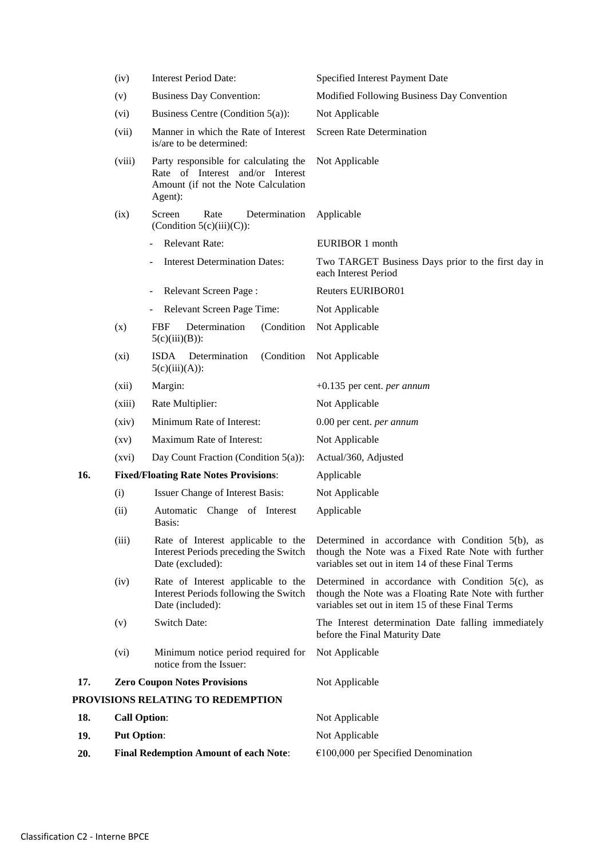|     | (iv)                                         | <b>Interest Period Date:</b>                                                                                                | Specified Interest Payment Date                                                                                                                                |
|-----|----------------------------------------------|-----------------------------------------------------------------------------------------------------------------------------|----------------------------------------------------------------------------------------------------------------------------------------------------------------|
|     | (v)                                          | <b>Business Day Convention:</b>                                                                                             | Modified Following Business Day Convention                                                                                                                     |
|     | (vi)                                         | Business Centre (Condition 5(a)):                                                                                           | Not Applicable                                                                                                                                                 |
|     | (vii)                                        | Manner in which the Rate of Interest<br>is/are to be determined:                                                            | <b>Screen Rate Determination</b>                                                                                                                               |
|     | (viii)                                       | Party responsible for calculating the<br>Rate of Interest and/or Interest<br>Amount (if not the Note Calculation<br>Agent): | Not Applicable                                                                                                                                                 |
|     | (ix)                                         | Screen<br>Rate<br>Determination<br>(Condition $5(c)(iii)(C)$ ):                                                             | Applicable                                                                                                                                                     |
|     |                                              | <b>Relevant Rate:</b>                                                                                                       | EURIBOR 1 month                                                                                                                                                |
|     |                                              | <b>Interest Determination Dates:</b>                                                                                        | Two TARGET Business Days prior to the first day in<br>each Interest Period                                                                                     |
|     |                                              | Relevant Screen Page:                                                                                                       | Reuters EURIBOR01                                                                                                                                              |
|     |                                              | Relevant Screen Page Time:                                                                                                  | Not Applicable                                                                                                                                                 |
|     | (x)                                          | <b>FBF</b><br>Determination<br>(Condition<br>$5(c)(iii)(B))$ :                                                              | Not Applicable                                                                                                                                                 |
|     | (xi)                                         | <b>ISDA</b><br>(Condition<br>Determination<br>$5(c)(iii)(A))$ :                                                             | Not Applicable                                                                                                                                                 |
|     | (xii)                                        | Margin:                                                                                                                     | $+0.135$ per cent. <i>per annum</i>                                                                                                                            |
|     | (xiii)                                       | Rate Multiplier:                                                                                                            | Not Applicable                                                                                                                                                 |
|     | (xiv)                                        | Minimum Rate of Interest:                                                                                                   | 0.00 per cent. per annum                                                                                                                                       |
|     | $\left( xy\right)$                           | Maximum Rate of Interest:                                                                                                   | Not Applicable                                                                                                                                                 |
|     | (xvi)                                        | Day Count Fraction (Condition 5(a)):                                                                                        | Actual/360, Adjusted                                                                                                                                           |
| 16. |                                              | <b>Fixed/Floating Rate Notes Provisions:</b>                                                                                | Applicable                                                                                                                                                     |
|     | (i)                                          | Issuer Change of Interest Basis:                                                                                            | Not Applicable                                                                                                                                                 |
|     | (ii)                                         | Automatic Change of Interest<br>Basis:                                                                                      | Applicable                                                                                                                                                     |
|     | (iii)                                        | Rate of Interest applicable to the<br>Interest Periods preceding the Switch<br>Date (excluded):                             | Determined in accordance with Condition 5(b), as<br>though the Note was a Fixed Rate Note with further<br>variables set out in item 14 of these Final Terms    |
|     | (iv)                                         | Rate of Interest applicable to the<br>Interest Periods following the Switch<br>Date (included):                             | Determined in accordance with Condition 5(c), as<br>though the Note was a Floating Rate Note with further<br>variables set out in item 15 of these Final Terms |
|     | (v)                                          | Switch Date:                                                                                                                | The Interest determination Date falling immediately<br>before the Final Maturity Date                                                                          |
|     | (vi)                                         | Minimum notice period required for<br>notice from the Issuer:                                                               | Not Applicable                                                                                                                                                 |
| 17. |                                              | <b>Zero Coupon Notes Provisions</b>                                                                                         | Not Applicable                                                                                                                                                 |
|     |                                              | PROVISIONS RELATING TO REDEMPTION                                                                                           |                                                                                                                                                                |
| 18. | <b>Call Option:</b>                          |                                                                                                                             | Not Applicable                                                                                                                                                 |
| 19. | <b>Put Option:</b>                           |                                                                                                                             | Not Applicable                                                                                                                                                 |
| 20. | <b>Final Redemption Amount of each Note:</b> |                                                                                                                             | $€100,000$ per Specified Denomination                                                                                                                          |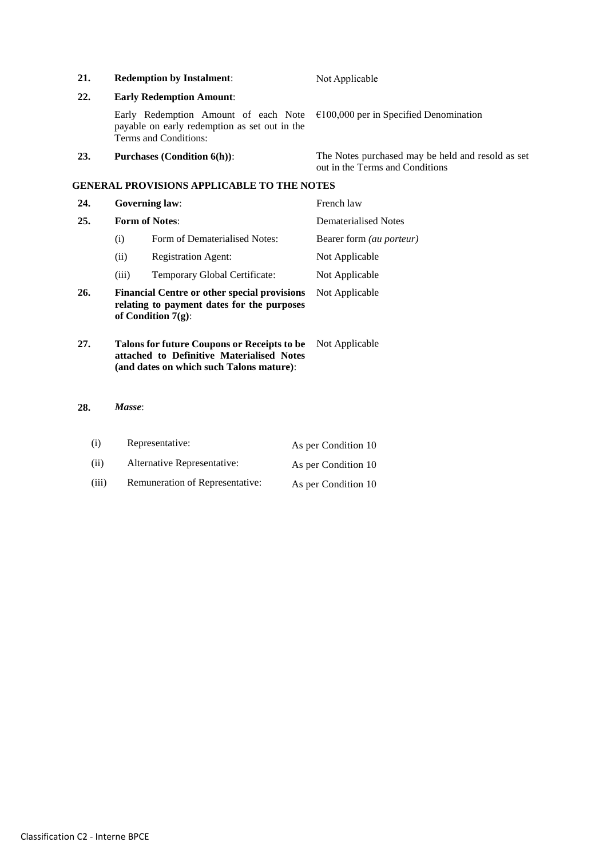| 21. |                                                                                                                         | <b>Redemption by Instalment:</b>                                                                                                     | Not Applicable                                                                       |
|-----|-------------------------------------------------------------------------------------------------------------------------|--------------------------------------------------------------------------------------------------------------------------------------|--------------------------------------------------------------------------------------|
| 22. | <b>Early Redemption Amount:</b>                                                                                         |                                                                                                                                      |                                                                                      |
|     |                                                                                                                         | Early Redemption Amount of each Note<br>payable on early redemption as set out in the<br>Terms and Conditions:                       | $\epsilon$ 100,000 per in Specified Denomination                                     |
| 23. |                                                                                                                         | <b>Purchases (Condition 6(h)):</b>                                                                                                   | The Notes purchased may be held and resold as set<br>out in the Terms and Conditions |
|     |                                                                                                                         | <b>GENERAL PROVISIONS APPLICABLE TO THE NOTES</b>                                                                                    |                                                                                      |
| 24. | <b>Governing law:</b>                                                                                                   |                                                                                                                                      | French law                                                                           |
| 25. | <b>Form of Notes:</b>                                                                                                   |                                                                                                                                      | Dematerialised Notes                                                                 |
|     | (i)                                                                                                                     | Form of Dematerialised Notes:                                                                                                        | Bearer form (au porteur)                                                             |
|     | (ii)                                                                                                                    | <b>Registration Agent:</b>                                                                                                           | Not Applicable                                                                       |
|     | (iii)                                                                                                                   | Temporary Global Certificate:                                                                                                        | Not Applicable                                                                       |
| 26. | <b>Financial Centre or other special provisions</b><br>relating to payment dates for the purposes<br>of Condition 7(g): |                                                                                                                                      | Not Applicable                                                                       |
| 27. |                                                                                                                         | Talons for future Coupons or Receipts to be<br>attached to Definitive Materialised Notes<br>(and dates on which such Talons mature): | Not Applicable                                                                       |
| 28. | Masse:                                                                                                                  |                                                                                                                                      |                                                                                      |

(i) Representative: As per Condition 10 (ii) Alternative Representative: As per Condition 10 (iii) Remuneration of Representative: As per Condition 10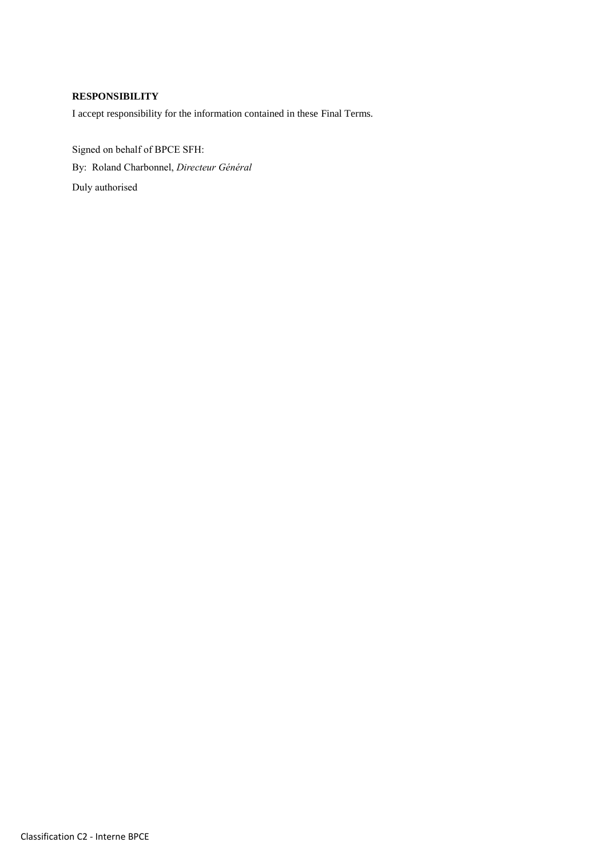# **RESPONSIBILITY**

I accept responsibility for the information contained in these Final Terms.

Signed on behalf of BPCE SFH: By: Roland Charbonnel, *Directeur Général* Duly authorised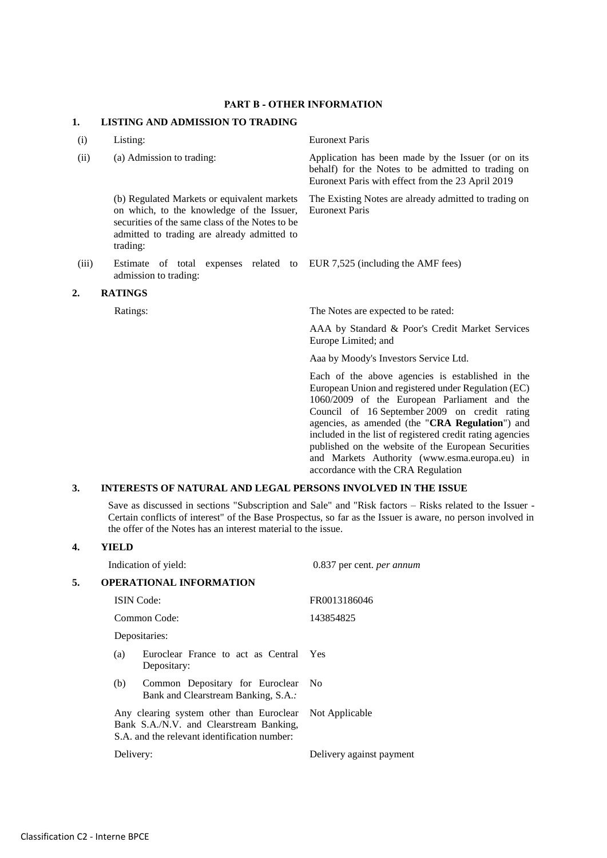#### **PART B - OTHER INFORMATION**

#### **1. LISTING AND ADMISSION TO TRADING**

(i) Listing: Euronext Paris

(b) Regulated Markets or equivalent markets on which, to the knowledge of the Issuer, securities of the same class of the Notes to be admitted to trading are already admitted to trading:

(iii) Estimate of total expenses related to admission to trading:

#### **2. RATINGS**

(ii) (a) Admission to trading: Application has been made by the Issuer (or on its behalf) for the Notes to be admitted to trading on Euronext Paris with effect from the 23 April 2019

> The Existing Notes are already admitted to trading on Euronext Paris

EUR 7,525 (including the AMF fees)

Ratings: The Notes are expected to be rated:

AAA by Standard & Poor's Credit Market Services Europe Limited; and

Aaa by Moody's Investors Service Ltd.

Each of the above agencies is established in the European Union and registered under Regulation (EC) 1060/2009 of the European Parliament and the Council of 16 September 2009 on credit rating agencies, as amended (the "**CRA Regulation**") and included in the list of registered credit rating agencies published on the website of the European Securities and Markets Authority (www.esma.europa.eu) in accordance with the CRA Regulation

### **3. INTERESTS OF NATURAL AND LEGAL PERSONS INVOLVED IN THE ISSUE**

Save as discussed in sections "Subscription and Sale" and "Risk factors – Risks related to the Issuer - Certain conflicts of interest" of the Base Prospectus, so far as the Issuer is aware, no person involved in the offer of the Notes has an interest material to the issue.

#### **4. YIELD**

|    |           | Indication of yield:                                                                                                                | 0.837 per cent. per annum |
|----|-----------|-------------------------------------------------------------------------------------------------------------------------------------|---------------------------|
| 5. |           | <b>OPERATIONAL INFORMATION</b>                                                                                                      |                           |
|    |           | <b>ISIN</b> Code:                                                                                                                   | FR0013186046              |
|    |           | Common Code:                                                                                                                        | 143854825                 |
|    |           | Depositaries:                                                                                                                       |                           |
|    | (a)       | Euroclear France to act as Central<br>Depositary:                                                                                   | Yes                       |
|    | (b)       | Common Depositary for Euroclear<br>Bank and Clearstream Banking, S.A.:                                                              | - No                      |
|    |           | Any clearing system other than Euroclear<br>Bank S.A./N.V. and Clearstream Banking,<br>S.A. and the relevant identification number: | Not Applicable            |
|    | Delivery: |                                                                                                                                     | Delivery against payment  |